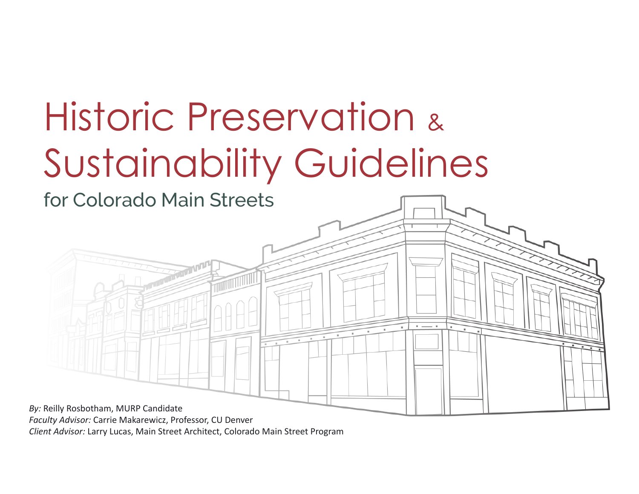# Historic Preservation & Sustainability Guidelines



*Faculty Advisor:* Carrie Makarewicz, Professor, CU Denver

*Client Advisor:* Larry Lucas, Main Street Architect, Colorado Main Street Program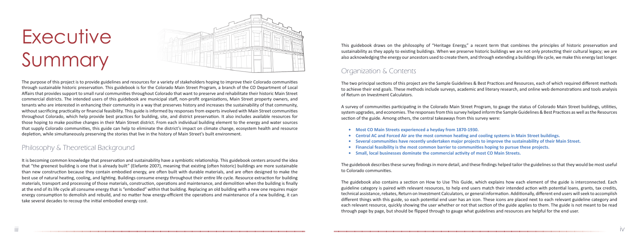# **Executive** Summary



The purpose of this project is to provide guidelines and resources for a variety of stakeholders hoping to improve their Colorado communities through sustainable historic preservation. This guidebook is for the Colorado Main Street Program, a branch of the CO Department of Local Affairs that provides support to small rural communities throughout Colorado that want to preserve and rehabilitate their historic Main Street commercial districts. The intended users of this guidebook are municipal staff, non-profit organizations, Main Street property owners, and tenants who are interested in enhancing their community in a way that preserves history and increases the sustainability of that community, without sacrificing practicality or financial feasibility. This guide is informed by responses from experts involved with Main Street communities throughout Colorado, which help provide best practices for building, site, and district preservation. It also includes available resources for those hoping to make positive changes in their Main Street district. From each individual building element to the energy and water sources that supply Colorado communities, this guide can help to eliminate the district's impact on climate change, ecosystem health and resource depletion, while simultaneously preserving the stories that live in the history of Main Street's built environment.

## Philosophy & Theoretical Background

It is becoming common knowledge that preservation and sustainability have a symbiotic relationship. This guidebook centers around the idea that "the greenest building is one that is already built" (Elefante 2007), meaning that existing (often historic) buildings are more sustainable than new construction because they contain embodied energy, are often built with durable materials, and are often designed to make the best use of natural heating, cooling, and lighting. Buildings consume energy throughout their entire life cycle. Resource extraction for building materials, transport and processing of those materials, construction, operations and maintenance, and demolition when the building is finally at the end of its life cycle all consume energy that is "embodied" within that building. Replacing an old building with a new one requires major energy consumption to demolish and rebuild, and no matter how energy-efficient the operations and maintenance of a new building, it can take several decades to recoup the initial embodied energy cost.

This guidebook draws on the philosophy of "Heritage Energy," a recent term that combines the principles of historic preservation and sustainability as they apply to existing buildings. When we preserve historic buildings we are not only protecting their cultural legacy; we are also acknowledging the energy our ancestors used to create them, and through extending a buildings life cycle, we make this energy last longer.

- 
- 
- 
- 
- 

The guidebook describes these survey findings in more detail, and these findings helped tailor the guidelines so that they would be most useful to Colorado communities.

The guidebook also contains a section on How to Use This Guide, which explains how each element of the guide is interconnected. Each guideline category is paired with relevant resources, to help end users match their intended action with potential loans, grants, tax credits, technical assistance, rebates, Return on Investment Calculators, or general information. Additionally, different end users will seek to accomplish different things with this guide, so each potential end user has an icon. These icons are placed next to each relevant guideline category and each relevant resource, quickly showing the user whether or not that section of the guide applies to them. The guide is not meant to be read through page by page, but should be flipped through to gauge what guidelines and resources are helpful for the end user.

The two principal sections of this project are the Sample Guidelines & Best Practices and Resources, each of which required different methods to achieve their end goals. These methods include surveys, academic and literary research, and online web demonstrations and tools analysis of Return on Investment Calculators.

A survey of communities participating in the Colorado Main Street Program, to gauge the status of Colorado Main Street buildings, utilities, system upgrades, and economies. The responses from this survey helped inform the Sample Guidelines & Best Practices as well as the Resources section of the guide. Among others, the central takeaways from this survey were:

## Organization & Contents

**• Most CO Main Streets experienced a heyday from 1870-1930.**

**• Central AC and Forced Air are the most common heating and cooling systems in Main Street buildings. •** Several communities have recently undertaken major projects to improve the sustainability of their Main Street. • Financial feasibility is the most common barrier to communities hoping to pursue these projects. **•** Small, local businesses dominate the commercial activity of most CO Main Streets.